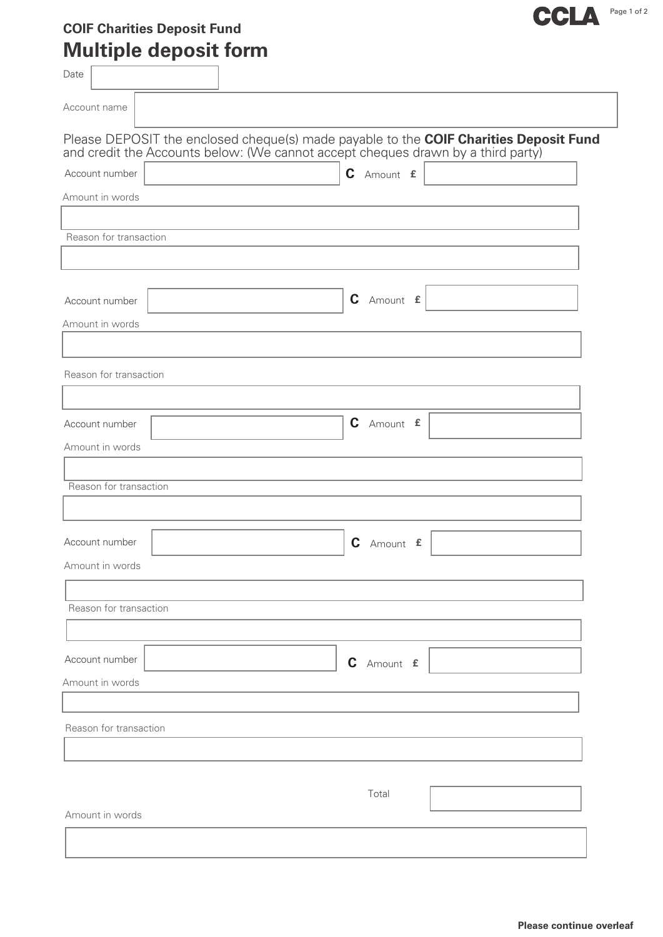## **COIF Charities Deposit Fund Multiple deposit form**

| Date                   | <u>INARIANA APPOLITIONINI</u> |                                                                                                                                                                           |  |
|------------------------|-------------------------------|---------------------------------------------------------------------------------------------------------------------------------------------------------------------------|--|
| Account name           |                               |                                                                                                                                                                           |  |
|                        |                               | Please DEPOSIT the enclosed cheque(s) made payable to the COIF Charities Deposit Fund<br>and credit the Accounts below: (We cannot accept cheques drawn by a third party) |  |
| Account number         |                               | C Amount £                                                                                                                                                                |  |
| Amount in words        |                               |                                                                                                                                                                           |  |
| Reason for transaction |                               |                                                                                                                                                                           |  |
|                        |                               |                                                                                                                                                                           |  |
| Account number         |                               | C Amount £                                                                                                                                                                |  |
| Amount in words        |                               |                                                                                                                                                                           |  |
| Reason for transaction |                               |                                                                                                                                                                           |  |
| Account number         |                               | C Amount £                                                                                                                                                                |  |
| Amount in words        |                               |                                                                                                                                                                           |  |
| Reason for transaction |                               |                                                                                                                                                                           |  |
| Account number         |                               | C Amount £                                                                                                                                                                |  |
| Amount in words        |                               |                                                                                                                                                                           |  |
| Reason for transaction |                               |                                                                                                                                                                           |  |
|                        |                               |                                                                                                                                                                           |  |
| Account number         |                               | C Amount £                                                                                                                                                                |  |
| Amount in words        |                               |                                                                                                                                                                           |  |
| Reason for transaction |                               |                                                                                                                                                                           |  |
|                        |                               |                                                                                                                                                                           |  |
|                        |                               | Total                                                                                                                                                                     |  |
|                        |                               |                                                                                                                                                                           |  |

CCLA Page 1 of 2